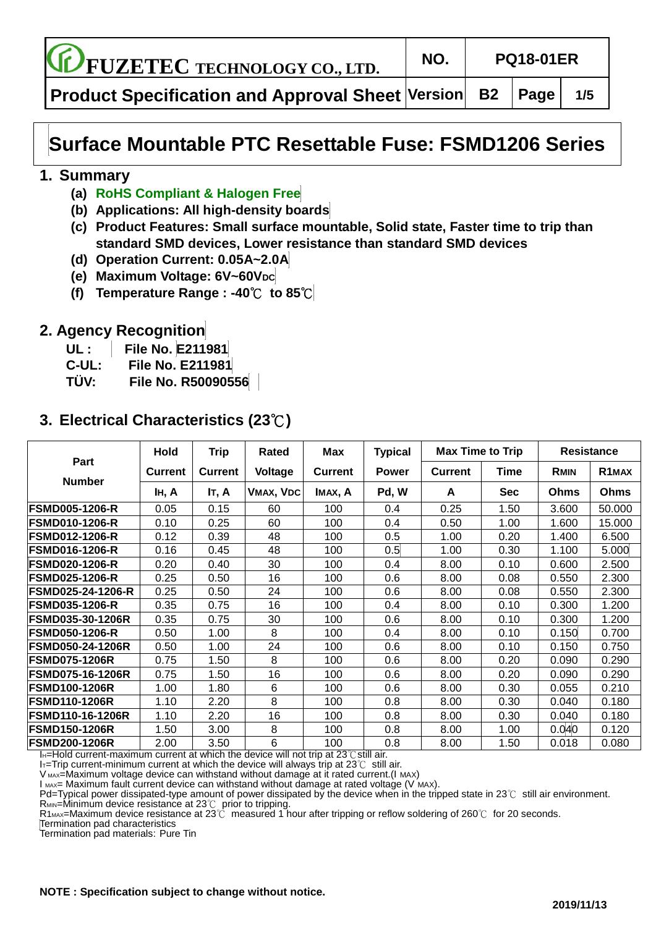**FUZETEC TECHNOLOGY CO., LTD. NO. PQ18-01ER**

**Product Specification and Approval Sheet Version B2 Page 1/5**

# **Surface Mountable PTC Resettable Fuse: FSMD1206 Series**

### **1. Summary**

- **(a) RoHS Compliant & Halogen Free**
- **(b) Applications: All high-density boards**
- **(c) Product Features: Small surface mountable, Solid state, Faster time to trip than standard SMD devices, Lower resistance than standard SMD devices**
- **(d) Operation Current: 0.05A~2.0A**
- **(e) Maximum Voltage: 6V~60VDC**
- **(f) Temperature Range : -40**℃ **to 85**℃

## **2. Agency Recognition**

- **UL : File No. E211981**
- **C-UL: File No. E211981**
- **TÜ V: File No. R50090556**

# **3. Electrical Characteristics (23**℃**)**

|                         | Hold           | <b>Trip</b>    | Rated     | Max            | <b>Typical</b> | <b>Max Time to Trip</b> |            | <b>Resistance</b> |                    |
|-------------------------|----------------|----------------|-----------|----------------|----------------|-------------------------|------------|-------------------|--------------------|
| Part                    | <b>Current</b> | <b>Current</b> | Voltage   | <b>Current</b> | <b>Power</b>   | <b>Current</b>          | Time       | <b>RMIN</b>       | R <sub>1</sub> MAX |
| <b>Number</b>           | IH, A          | IT, A          | VMAX, VDC | IMAX, A        | Pd, W          | A                       | <b>Sec</b> | <b>Ohms</b>       | Ohms               |
| <b>FSMD005-1206-R</b>   | 0.05           | 0.15           | 60        | 100            | 0.4            | 0.25                    | 1.50       | 3.600             | 50.000             |
| <b>FSMD010-1206-R</b>   | 0.10           | 0.25           | 60        | 100            | 0.4            | 0.50                    | 1.00       | 1.600             | 15.000             |
| <b>FSMD012-1206-R</b>   | 0.12           | 0.39           | 48        | 100            | 0.5            | 1.00                    | 0.20       | 1.400             | 6.500              |
| <b>FSMD016-1206-R</b>   | 0.16           | 0.45           | 48        | 100            | 0.5            | 1.00                    | 0.30       | 1.100             | 5.000              |
| <b>FSMD020-1206-R</b>   | 0.20           | 0.40           | 30        | 100            | 0.4            | 8.00                    | 0.10       | 0.600             | 2.500              |
| <b>FSMD025-1206-R</b>   | 0.25           | 0.50           | 16        | 100            | 0.6            | 8.00                    | 0.08       | 0.550             | 2.300              |
| FSMD025-24-1206-R       | 0.25           | 0.50           | 24        | 100            | 0.6            | 8.00                    | 0.08       | 0.550             | 2.300              |
| <b>FSMD035-1206-R</b>   | 0.35           | 0.75           | 16        | 100            | 0.4            | 8.00                    | 0.10       | 0.300             | 1.200              |
| <b>FSMD035-30-1206R</b> | 0.35           | 0.75           | 30        | 100            | 0.6            | 8.00                    | 0.10       | 0.300             | 1.200              |
| <b>FSMD050-1206-R</b>   | 0.50           | 1.00           | 8         | 100            | 0.4            | 8.00                    | 0.10       | 0.150             | 0.700              |
| <b>FSMD050-24-1206R</b> | 0.50           | 1.00           | 24        | 100            | 0.6            | 8.00                    | 0.10       | 0.150             | 0.750              |
| <b>FSMD075-1206R</b>    | 0.75           | 1.50           | 8         | 100            | 0.6            | 8.00                    | 0.20       | 0.090             | 0.290              |
| FSMD075-16-1206R        | 0.75           | 1.50           | 16        | 100            | 0.6            | 8.00                    | 0.20       | 0.090             | 0.290              |
| <b>FSMD100-1206R</b>    | 1.00           | 1.80           | 6         | 100            | 0.6            | 8.00                    | 0.30       | 0.055             | 0.210              |
| <b>FSMD110-1206R</b>    | 1.10           | 2.20           | 8         | 100            | 0.8            | 8.00                    | 0.30       | 0.040             | 0.180              |
| <b>FSMD110-16-1206R</b> | 1.10           | 2.20           | 16        | 100            | 0.8            | 8.00                    | 0.30       | 0.040             | 0.180              |
| <b>FSMD150-1206R</b>    | 1.50           | 3.00           | 8         | 100            | 0.8            | 8.00                    | 1.00       | 0.040             | 0.120              |
| <b>FSMD200-1206R</b>    | 2.00           | 3.50           | 6         | 100            | 0.8            | 8.00                    | 1.50       | 0.018             | 0.080              |

IH=Hold current-maximum current at which the device will not trip at 23℃still air.

IT=Trip current-minimum current at which the device will always trip at 23℃ still air.

V MAX=Maximum voltage device can withstand without damage at it rated current.(I MAX)

 $I_{MAX}$ = Maximum fault current device can withstand without damage at rated voltage (V MAX).

Pd=Typical power dissipated-type amount of power dissipated by the device when in the tripped state in 23℃ still air environment.  $R_{MIN}$ =Minimum device resistance at 23 $\degree$ C prior to tripping.

R1<sub>MAX</sub>=Maximum device resistance at 23℃ measured 1 hour after tripping or reflow soldering of 260℃ for 20 seconds.

Termination pad characteristics

Termination pad materials: Pure Tin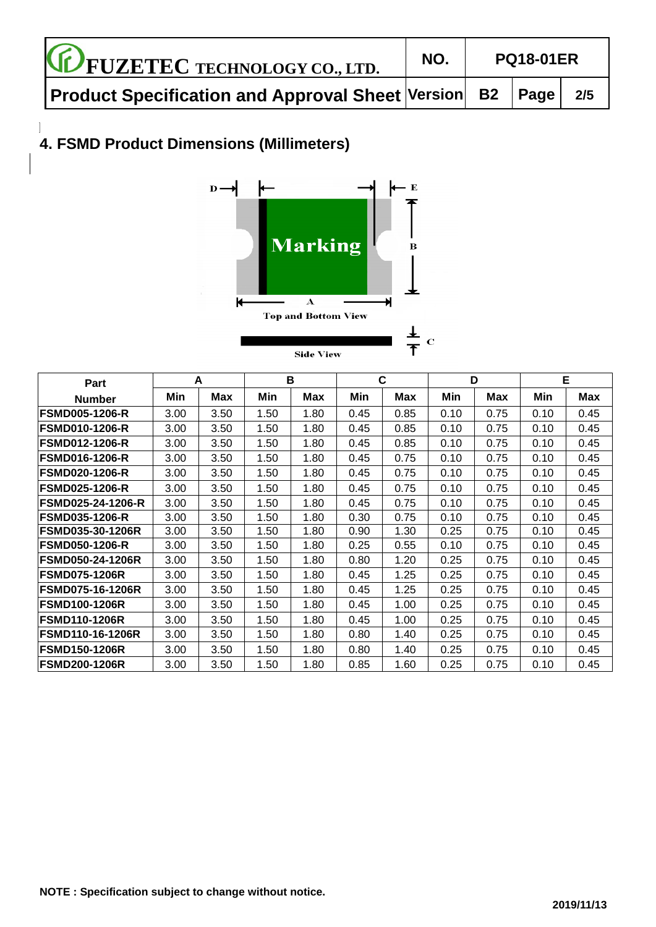| <b>CE FUZETEC TECHNOLOGY CO., LTD.</b>                       |  | <b>PQ18-01ER</b> |     |
|--------------------------------------------------------------|--|------------------|-----|
| Product Specification and Approval Sheet Version   B2   Page |  |                  | 2/5 |

### $\overline{\phantom{a}}$ **4. FSMD Product Dimensions (Millimeters)**



| Part                     | A    |      | B    |      | C    |            | D    |      | Е    |      |
|--------------------------|------|------|------|------|------|------------|------|------|------|------|
| <b>Number</b>            | Min  | Max  | Min  | Max  | Min  | <b>Max</b> | Min  | Max  | Min  | Max  |
| <b>FSMD005-1206-R</b>    | 3.00 | 3.50 | 1.50 | 1.80 | 0.45 | 0.85       | 0.10 | 0.75 | 0.10 | 0.45 |
| <b>FSMD010-1206-R</b>    | 3.00 | 3.50 | 1.50 | 1.80 | 0.45 | 0.85       | 0.10 | 0.75 | 0.10 | 0.45 |
| <b>FSMD012-1206-R</b>    | 3.00 | 3.50 | 1.50 | 1.80 | 0.45 | 0.85       | 0.10 | 0.75 | 0.10 | 0.45 |
| <b>FSMD016-1206-R</b>    | 3.00 | 3.50 | 1.50 | 1.80 | 0.45 | 0.75       | 0.10 | 0.75 | 0.10 | 0.45 |
| <b>FSMD020-1206-R</b>    | 3.00 | 3.50 | 1.50 | 1.80 | 0.45 | 0.75       | 0.10 | 0.75 | 0.10 | 0.45 |
| <b>IFSMD025-1206-R</b>   | 3.00 | 3.50 | 1.50 | 1.80 | 0.45 | 0.75       | 0.10 | 0.75 | 0.10 | 0.45 |
| <b>FSMD025-24-1206-R</b> | 3.00 | 3.50 | 1.50 | 1.80 | 0.45 | 0.75       | 0.10 | 0.75 | 0.10 | 0.45 |
| <b>FSMD035-1206-R</b>    | 3.00 | 3.50 | 1.50 | 1.80 | 0.30 | 0.75       | 0.10 | 0.75 | 0.10 | 0.45 |
| <b>FSMD035-30-1206R</b>  | 3.00 | 3.50 | 1.50 | 1.80 | 0.90 | 1.30       | 0.25 | 0.75 | 0.10 | 0.45 |
| <b>IFSMD050-1206-R</b>   | 3.00 | 3.50 | 1.50 | 1.80 | 0.25 | 0.55       | 0.10 | 0.75 | 0.10 | 0.45 |
| <b>FSMD050-24-1206R</b>  | 3.00 | 3.50 | 1.50 | 1.80 | 0.80 | 1.20       | 0.25 | 0.75 | 0.10 | 0.45 |
| <b>FSMD075-1206R</b>     | 3.00 | 3.50 | 1.50 | 1.80 | 0.45 | 1.25       | 0.25 | 0.75 | 0.10 | 0.45 |
| <b>IFSMD075-16-1206R</b> | 3.00 | 3.50 | 1.50 | 1.80 | 0.45 | 1.25       | 0.25 | 0.75 | 0.10 | 0.45 |
| <b>FSMD100-1206R</b>     | 3.00 | 3.50 | 1.50 | 1.80 | 0.45 | 1.00       | 0.25 | 0.75 | 0.10 | 0.45 |
| <b>FSMD110-1206R</b>     | 3.00 | 3.50 | 1.50 | 1.80 | 0.45 | 1.00       | 0.25 | 0.75 | 0.10 | 0.45 |
| <b>FSMD110-16-1206R</b>  | 3.00 | 3.50 | 1.50 | 1.80 | 0.80 | 1.40       | 0.25 | 0.75 | 0.10 | 0.45 |
| <b>IFSMD150-1206R</b>    | 3.00 | 3.50 | 1.50 | 1.80 | 0.80 | 1.40       | 0.25 | 0.75 | 0.10 | 0.45 |
| <b>IFSMD200-1206R</b>    | 3.00 | 3.50 | 1.50 | 1.80 | 0.85 | 1.60       | 0.25 | 0.75 | 0.10 | 0.45 |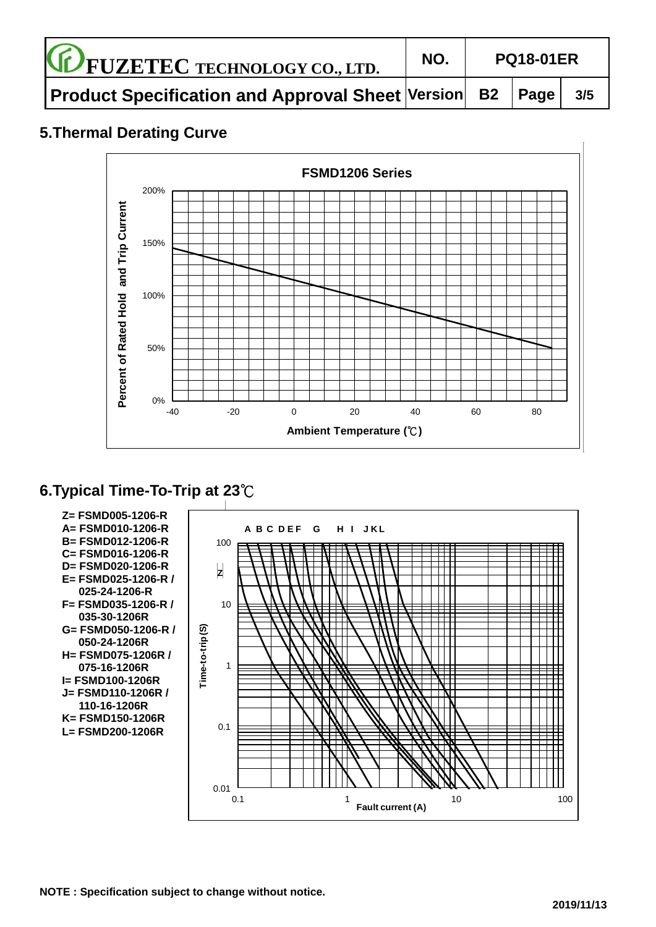| <b>CE FUZETEC TECHNOLOGY CO., LTD.</b>                          | NO. | <b>PQ18-01ER</b> |  |     |  |
|-----------------------------------------------------------------|-----|------------------|--|-----|--|
| <b>Product Specification and Approval Sheet Version B2 Page</b> |     |                  |  | 3/5 |  |

# **5.Thermal Derating Curve**



# **6.Typical Time-To-Trip at 23**℃



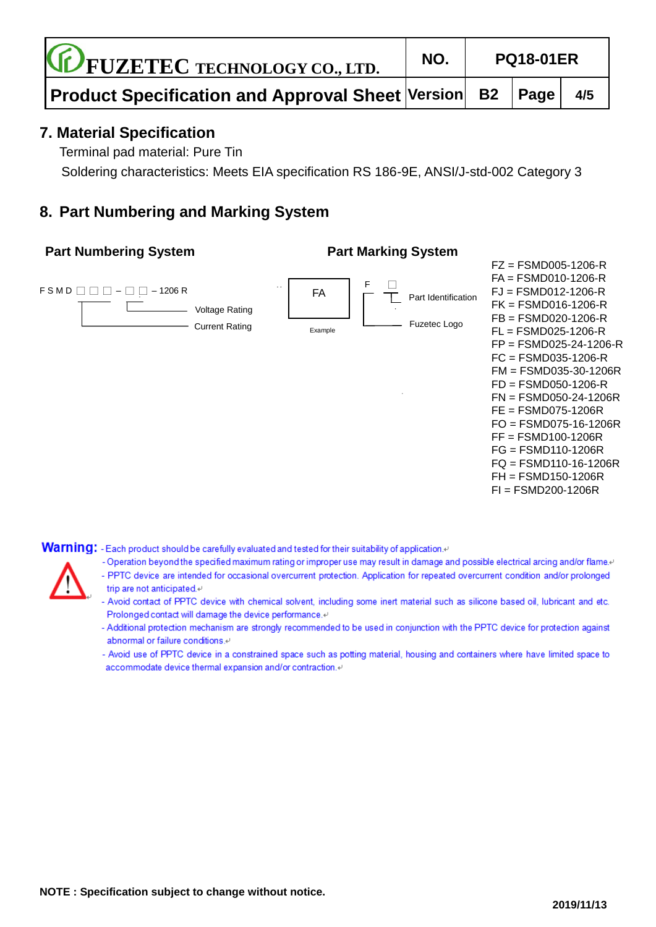| <b>CE FUZETEC TECHNOLOGY CO., LTD.</b>                                                          | NO. |  |  | <b>PQ18-01ER</b> |  |
|-------------------------------------------------------------------------------------------------|-----|--|--|------------------|--|
| $\mid$ Product Specification and Approval Sheet $\mid$ Version $\mid\,$ B2 $\mid$ Page $\mid\,$ |     |  |  | 4/5              |  |

## **7. Material Specification**

Terminal pad material: Pure Tin

Soldering characteristics: Meets EIA specification RS 186-9E, ANSI/J-std-002 Category 3

# **8. Part Numbering and Marking System**

#### **Part Numbering System Part Marking System**



Warning: - Each product should be carefully evaluated and tested for their suitability of application.

- Operation beyond the specified maximum rating or improper use may result in damage and possible electrical arcing and/or flame.
- PPTC device are intended for occasional overcurrent protection. Application for repeated overcurrent condition and/or prolonged trip are not anticipated.«
- Avoid contact of PPTC device with chemical solvent, including some inert material such as silicone based oil, lubricant and etc. Prolonged contact will damage the device performance.47
- Additional protection mechanism are strongly recommended to be used in conjunction with the PPTC device for protection against abnormal or failure conditions.<sup>47</sup>
- Avoid use of PPTC device in a constrained space such as potting material, housing and containers where have limited space to accommodate device thermal expansion and/or contraction.41